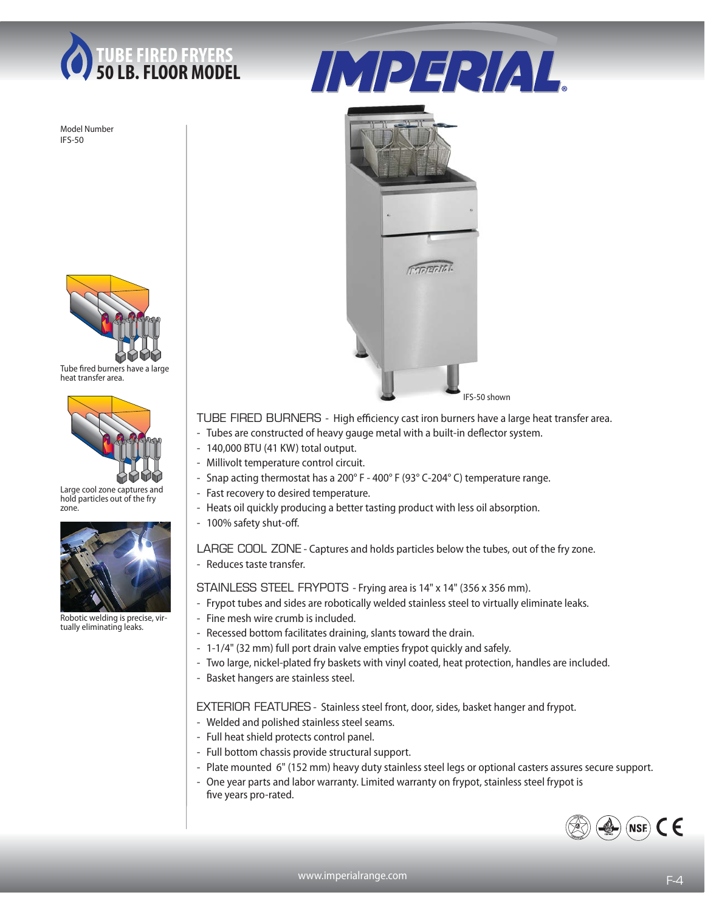

Model Number IFS-50



Tube fired burners have a large heat transfer area.



Large cool zone captures and hold particles out of the fry zone.



Robotic welding is precise, virtually eliminating leaks.





TUBE FIRED BURNERS - High efficiency cast iron burners have a large heat transfer area.

- Tubes are constructed of heavy gauge metal with a built-in deflector system.
	- 140,000 BTU (41 KW) total output.
	- Millivolt temperature control circuit.
	- Snap acting thermostat has a 200° F 400° F (93° C-204° C) temperature range.
	- Fast recovery to desired temperature.
	- Heats oil quickly producing a better tasting product with less oil absorption.
	- 100% safety shut-off.

LARGE COOL ZONE - Captures and holds particles below the tubes, out of the fry zone. - Reduces taste transfer.

STAINLESS STEEL FRYPOTS - Frying area is 14" x 14" (356 x 356 mm).

- Frypot tubes and sides are robotically welded stainless steel to virtually eliminate leaks.
- Fine mesh wire crumb is included.
- Recessed bottom facilitates draining, slants toward the drain.
- 1-1/4" (32 mm) full port drain valve empties frypot quickly and safely.
- Two large, nickel-plated fry baskets with vinyl coated, heat protection, handles are included.
- Basket hangers are stainless steel.

EXTERIOR FEATURES - Stainless steel front, door, sides, basket hanger and frypot.

- Welded and polished stainless steel seams.
- Full heat shield protects control panel.
- Full bottom chassis provide structural support.
- Plate mounted 6" (152 mm) heavy duty stainless steel legs or optional casters assures secure support.
- One year parts and labor warranty. Limited warranty on frypot, stainless steel frypot is five years pro-rated.